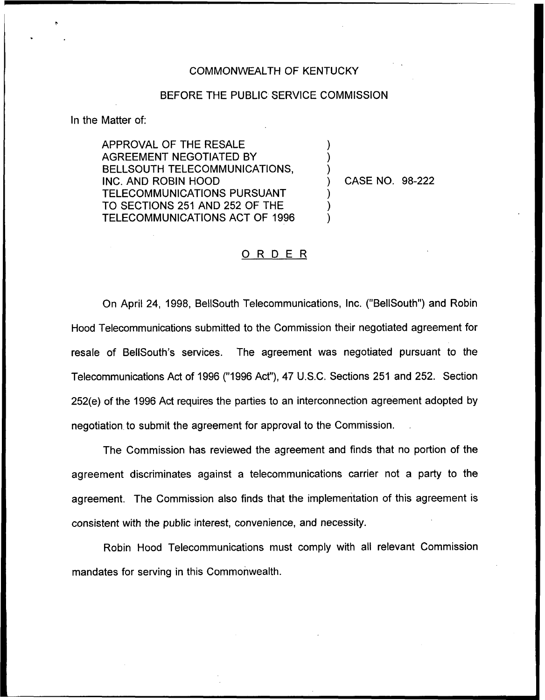## COMMONWEALTH OF KENTUCKY

## BEFORE THE PUBLIC SERVICE COMMiSSION

) ) )

) ) )

In the Matter of:

APPROVAL OF THE RESALE AGREEMENT NEGOTIATED BY BELLSOUTH TELECOMMUNICATIONS, INC. AND ROBIN HOOD TELECOMMUNICATIONS PURSUANT TO SECTIONS 251 AND 252 OF THE TELECOMMUNICATIONS ACT OF 1996

) CASE NO. 98-222

## 0 <sup>R</sup> <sup>D</sup> <sup>E</sup> <sup>R</sup>

On April 24, 1998, BellSouth Telecommunications, Inc. ("BellSouth") and Robin Hood Telecommunications submitted to the Commission their negotiated agreement for resale of BellSouth's services. The agreement was negotiated pursuant to the Telecommunications Act of 1996 ("1996Act"), 47 U.S.C. Sections 251 and 252. Section 252(e) of the 1996 Act requires the parties to an interconnection agreement adopted by negotiation to submit the agreement for approval to the Commission.

The Commission has reviewed the agreement and finds that no portion of the agreement discriminates against a telecommunications carrier not a party to the agreement. The Commission also finds that the implementation of this agreement is consistent with the public interest, convenience, and necessity.

Robin Hood Telecommunications must comply with all relevant Commission mandates for serving in this Commonwealth.